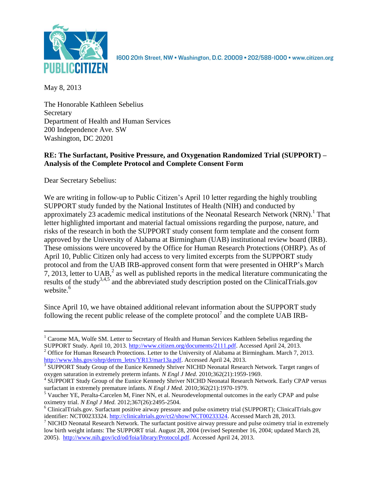

1600 20th Street, NW . Washington, D.C. 20009 . 202/588-1000 . www.citizen.org

May 8, 2013

The Honorable Kathleen Sebelius **Secretary** Department of Health and Human Services 200 Independence Ave. SW Washington, DC 20201

# **RE: The Surfactant, Positive Pressure, and Oxygenation Randomized Trial (SUPPORT) – Analysis of the Complete Protocol and Complete Consent Form**

Dear Secretary Sebelius:

We are writing in follow-up to Public Citizen's April 10 letter regarding the highly troubling SUPPORT study funded by the National Institutes of Health (NIH) and conducted by approximately 23 academic medical institutions of the Neonatal Research Network (NRN).<sup>1</sup> That letter highlighted important and material factual omissions regarding the purpose, nature, and risks of the research in both the SUPPORT study consent form template and the consent form approved by the University of Alabama at Birmingham (UAB) institutional review board (IRB). These omissions were uncovered by the Office for Human Research Protections (OHRP). As of April 10, Public Citizen only had access to very limited excerpts from the SUPPORT study protocol and from the UAB IRB-approved consent form that were presented in OHRP's March 7, 2013, letter to  $UAB$ , as well as published reports in the medical literature communicating the results of the study<sup>3,4,5</sup> and the abbreviated study description posted on the ClinicalTrials.gov website. 6

Since April 10, we have obtained additional relevant information about the SUPPORT study following the recent public release of the complete protocol<sup>7</sup> and the complete UAB IRB-

 $\overline{a}$  $1$  Carome MA, Wolfe SM. Letter to Secretary of Health and Human Services Kathleen Sebelius regarding the SUPPORT Study. April 10, 2013. [http://www.citizen.org/documents/2111.pdf.](http://www.citizen.org/documents/2111.pdf) Accessed April 24, 2013. <sup>2</sup> Office for Human Research Protections. Letter to the University of Alabama at Birmingham. March 7, 2013.

[http://www.hhs.gov/ohrp/detrm\\_letrs/YR13/mar13a.pdf.](http://www.hhs.gov/ohrp/detrm_letrs/YR13/mar13a.pdf) Accessed April 24, 2013.

<sup>&</sup>lt;sup>3</sup> SUPPORT Study Group of the Eunice Kennedy Shriver NICHD Neonatal Research Network. Target ranges of oxygen saturation in extremely preterm infants. *N Engl J Med.* 2010;362(21):1959-1969.

<sup>&</sup>lt;sup>4</sup> SUPPORT Study Group of the Eunice Kennedy Shriver NICHD Neonatal Research Network. Early CPAP versus surfactant in extremely premature infants. *N Engl J Med.* 2010;362(21):1970-1979.

<sup>&</sup>lt;sup>5</sup> Vaucher YE, Peralta-Carcelen M, Finer NN, et al. Neurodevelopmental outcomes in the early CPAP and pulse oximetry trial. *N Engl J Med.* 2012;367(26):2495-2504.

<sup>6</sup> ClinicalTrials.gov. Surfactant positive airway pressure and pulse oximetry trial (SUPPORT); ClinicalTrials.gov identifier: NCT00233324. [http://clinicaltrials.gov/ct2/show/NCT00233324.](http://clinicaltrials.gov/ct2/show/NCT00233324) Accessed March 28, 2013.

 $<sup>7</sup>$  NICHD Neonatal Research Network. The surfactant positive airway pressure and pulse oximetry trial in extremely</sup> low birth weight infants: The SUPPORT trial. August 28, 2004 (revised September 16, 2004; updated March 28, 2005).[http://www.nih.gov/icd/od/foia/library/Protocol.pdf.](http://www.nih.gov/icd/od/foia/library/Protocol.pdf) Accessed April 24, 2013.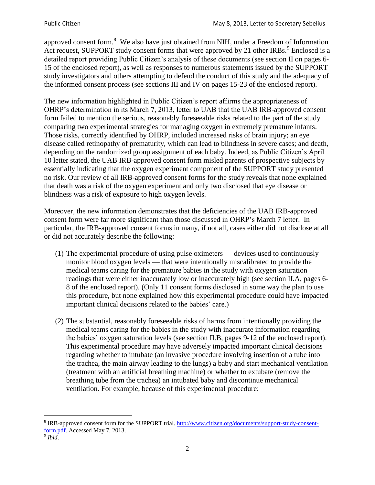approved consent form.<sup>8</sup> We also have just obtained from NIH, under a Freedom of Information Act request, SUPPORT study consent forms that were approved by 21 other IRBs.<sup>9</sup> Enclosed is a detailed report providing Public Citizen's analysis of these documents (see section II on pages 6- 15 of the enclosed report), as well as responses to numerous statements issued by the SUPPORT study investigators and others attempting to defend the conduct of this study and the adequacy of the informed consent process (see sections III and IV on pages 15-23 of the enclosed report).

The new information highlighted in Public Citizen's report affirms the appropriateness of OHRP's determination in its March 7, 2013, letter to UAB that the UAB IRB-approved consent form failed to mention the serious, reasonably foreseeable risks related to the part of the study comparing two experimental strategies for managing oxygen in extremely premature infants. Those risks, correctly identified by OHRP, included increased risks of brain injury; an eye disease called retinopathy of prematurity, which can lead to blindness in severe cases; and death, depending on the randomized group assignment of each baby. Indeed, as Public Citizen's April 10 letter stated, the UAB IRB-approved consent form misled parents of prospective subjects by essentially indicating that the oxygen experiment component of the SUPPORT study presented no risk. Our review of all IRB-approved consent forms for the study reveals that none explained that death was a risk of the oxygen experiment and only two disclosed that eye disease or blindness was a risk of exposure to high oxygen levels.

Moreover, the new information demonstrates that the deficiencies of the UAB IRB-approved consent form were far more significant than those discussed in OHRP's March 7 letter. In particular, the IRB-approved consent forms in many, if not all, cases either did not disclose at all or did not accurately describe the following:

- (1) The experimental procedure of using pulse oximeters devices used to continuously monitor blood oxygen levels — that were intentionally miscalibrated to provide the medical teams caring for the premature babies in the study with oxygen saturation readings that were either inaccurately low or inaccurately high (see section II.A, pages 6- 8 of the enclosed report). (Only 11 consent forms disclosed in some way the plan to use this procedure, but none explained how this experimental procedure could have impacted important clinical decisions related to the babies' care.)
- (2) The substantial, reasonably foreseeable risks of harms from intentionally providing the medical teams caring for the babies in the study with inaccurate information regarding the babies' oxygen saturation levels (see section II.B, pages 9-12 of the enclosed report). This experimental procedure may have adversely impacted important clinical decisions regarding whether to intubate (an invasive procedure involving insertion of a tube into the trachea, the main airway leading to the lungs) a baby and start mechanical ventilation (treatment with an artificial breathing machine) or whether to extubate (remove the breathing tube from the trachea) an intubated baby and discontinue mechanical ventilation. For example, because of this experimental procedure:

<sup>&</sup>lt;sup>8</sup> IRB-approved consent form for the SUPPORT trial. [http://www.citizen.org/documents/support-study-consent](http://www.citizen.org/documents/support-study-consent-form.pdf)[form.pdf.](http://www.citizen.org/documents/support-study-consent-form.pdf) Accessed May 7, 2013.

<sup>9</sup> *Ibid*.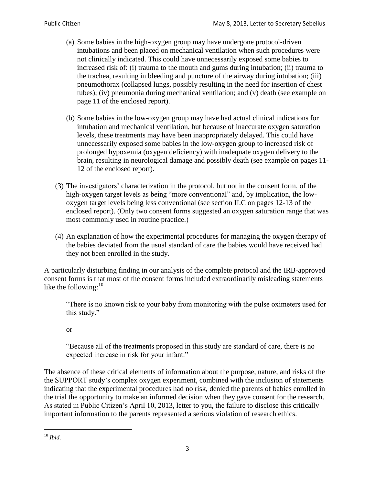- (a) Some babies in the high-oxygen group may have undergone protocol-driven intubations and been placed on mechanical ventilation when such procedures were not clinically indicated. This could have unnecessarily exposed some babies to increased risk of: (i) trauma to the mouth and gums during intubation; (ii) trauma to the trachea, resulting in bleeding and puncture of the airway during intubation; (iii) pneumothorax (collapsed lungs, possibly resulting in the need for insertion of chest tubes); (iv) pneumonia during mechanical ventilation; and (v) death (see example on page 11 of the enclosed report).
- (b) Some babies in the low-oxygen group may have had actual clinical indications for intubation and mechanical ventilation, but because of inaccurate oxygen saturation levels, these treatments may have been inappropriately delayed. This could have unnecessarily exposed some babies in the low-oxygen group to increased risk of prolonged hypoxemia (oxygen deficiency) with inadequate oxygen delivery to the brain, resulting in neurological damage and possibly death (see example on pages 11- 12 of the enclosed report).
- (3) The investigators' characterization in the protocol, but not in the consent form, of the high-oxygen target levels as being "more conventional" and, by implication, the lowoxygen target levels being less conventional (see section II.C on pages 12-13 of the enclosed report). (Only two consent forms suggested an oxygen saturation range that was most commonly used in routine practice.)
- (4) An explanation of how the experimental procedures for managing the oxygen therapy of the babies deviated from the usual standard of care the babies would have received had they not been enrolled in the study.

A particularly disturbing finding in our analysis of the complete protocol and the IRB-approved consent forms is that most of the consent forms included extraordinarily misleading statements like the following: $10$ 

"There is no known risk to your baby from monitoring with the pulse oximeters used for this study."

#### or

"Because all of the treatments proposed in this study are standard of care, there is no expected increase in risk for your infant."

The absence of these critical elements of information about the purpose, nature, and risks of the the SUPPORT study's complex oxygen experiment, combined with the inclusion of statements indicating that the experimental procedures had no risk, denied the parents of babies enrolled in the trial the opportunity to make an informed decision when they gave consent for the research. As stated in Public Citizen's April 10, 2013, letter to you, the failure to disclose this critically important information to the parents represented a serious violation of research ethics.

 $\overline{a}$ <sup>10</sup> *Ibid*.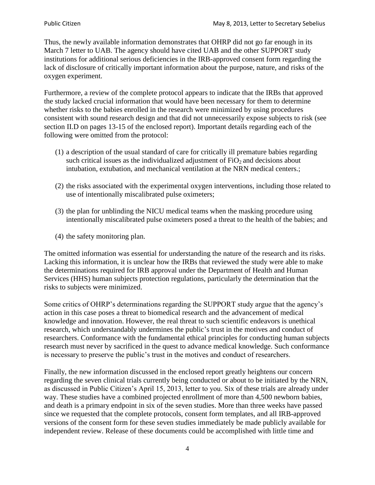Thus, the newly available information demonstrates that OHRP did not go far enough in its March 7 letter to UAB. The agency should have cited UAB and the other SUPPORT study institutions for additional serious deficiencies in the IRB-approved consent form regarding the lack of disclosure of critically important information about the purpose, nature, and risks of the oxygen experiment.

Furthermore, a review of the complete protocol appears to indicate that the IRBs that approved the study lacked crucial information that would have been necessary for them to determine whether risks to the babies enrolled in the research were minimized by using procedures consistent with sound research design and that did not unnecessarily expose subjects to risk (see section II.D on pages 13-15 of the enclosed report). Important details regarding each of the following were omitted from the protocol:

- (1) a description of the usual standard of care for critically ill premature babies regarding such critical issues as the individualized adjustment of  $FiO<sub>2</sub>$  and decisions about intubation, extubation, and mechanical ventilation at the NRN medical centers.;
- (2) the risks associated with the experimental oxygen interventions, including those related to use of intentionally miscalibrated pulse oximeters;
- (3) the plan for unblinding the NICU medical teams when the masking procedure using intentionally miscalibrated pulse oximeters posed a threat to the health of the babies; and
- (4) the safety monitoring plan.

The omitted information was essential for understanding the nature of the research and its risks. Lacking this information, it is unclear how the IRBs that reviewed the study were able to make the determinations required for IRB approval under the Department of Health and Human Services (HHS) human subjects protection regulations, particularly the determination that the risks to subjects were minimized.

Some critics of OHRP's determinations regarding the SUPPORT study argue that the agency's action in this case poses a threat to biomedical research and the advancement of medical knowledge and innovation. However, the real threat to such scientific endeavors is unethical research, which understandably undermines the public's trust in the motives and conduct of researchers. Conformance with the fundamental ethical principles for conducting human subjects research must never by sacrificed in the quest to advance medical knowledge. Such conformance is necessary to preserve the public's trust in the motives and conduct of researchers.

Finally, the new information discussed in the enclosed report greatly heightens our concern regarding the seven clinical trials currently being conducted or about to be initiated by the NRN, as discussed in Public Citizen's April 15, 2013, letter to you. Six of these trials are already under way. These studies have a combined projected enrollment of more than 4,500 newborn babies, and death is a primary endpoint in six of the seven studies. More than three weeks have passed since we requested that the complete protocols, consent form templates, and all IRB-approved versions of the consent form for these seven studies immediately be made publicly available for independent review. Release of these documents could be accomplished with little time and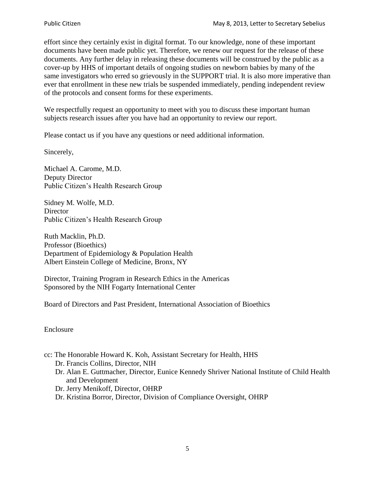effort since they certainly exist in digital format. To our knowledge, none of these important documents have been made public yet. Therefore, we renew our request for the release of these documents. Any further delay in releasing these documents will be construed by the public as a cover-up by HHS of important details of ongoing studies on newborn babies by many of the same investigators who erred so grievously in the SUPPORT trial. It is also more imperative than ever that enrollment in these new trials be suspended immediately, pending independent review of the protocols and consent forms for these experiments.

We respectfully request an opportunity to meet with you to discuss these important human subjects research issues after you have had an opportunity to review our report.

Please contact us if you have any questions or need additional information.

Sincerely,

Michael A. Carome, M.D. Deputy Director Public Citizen's Health Research Group

Sidney M. Wolfe, M.D. **Director** Public Citizen's Health Research Group

Ruth Macklin, Ph.D. Professor (Bioethics) Department of Epidemiology & Population Health Albert Einstein College of Medicine, Bronx, NY

Director, Training Program in Research Ethics in the Americas Sponsored by the NIH Fogarty International Center

Board of Directors and Past President, International Association of Bioethics

Enclosure

cc: The Honorable Howard K. Koh, Assistant Secretary for Health, HHS

Dr. Francis Collins, Director, NIH

- Dr. Alan E. Guttmacher, Director, Eunice Kennedy Shriver National Institute of Child Health and Development
- Dr. Jerry Menikoff, Director, OHRP
- Dr. Kristina Borror, Director, Division of Compliance Oversight, OHRP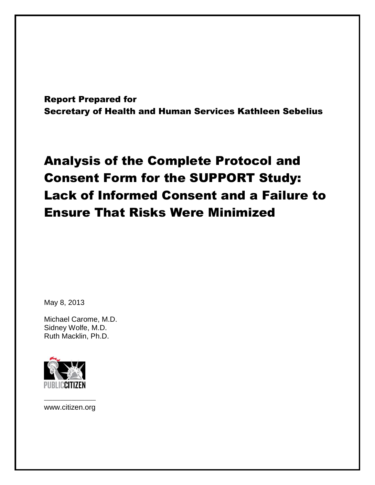Report Prepared for Secretary of Health and Human Services Kathleen Sebelius

# Analysis of the Complete Protocol and Consent Form for the SUPPORT Study: Lack of Informed Consent and a Failure to Ensure That Risks Were Minimized

May 8, 2013

Michael Carome, M.D. Sidney Wolfe, M.D. Ruth Macklin, Ph.D.



––––––––––––––––––– www.citizen.org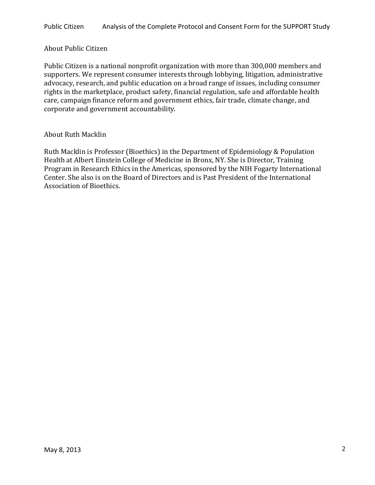#### About Public Citizen

Public Citizen is a national nonprofit organization with more than 300,000 members and supporters. We represent consumer interests through lobbying, litigation, administrative advocacy, research, and public education on a broad range of issues, including consumer rights in the marketplace, product safety, financial regulation, safe and affordable health care, campaign finance reform and government ethics, fair trade, climate change, and corporate and government accountability.

#### About Ruth Macklin

Ruth Macklin is Professor (Bioethics) in the Department of Epidemiology & Population Health at Albert Einstein College of Medicine in Bronx, NY. She is Director, Training Program in Research Ethics in the Americas, sponsored by the NIH Fogarty International Center. She also is on the Board of Directors and is Past President of the International Association of Bioethics.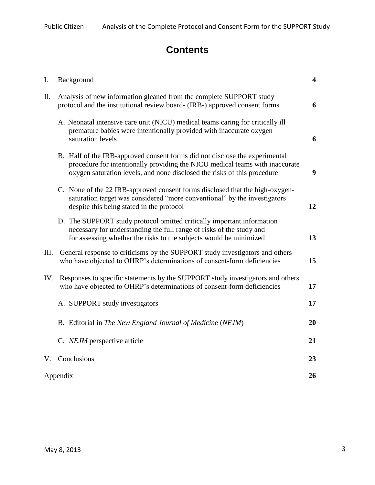# **Contents**

| Ι.   | Background                                                                                                                                                                                                                              | $\overline{\mathbf{4}}$ |  |  |  |  |  |  |  |  |
|------|-----------------------------------------------------------------------------------------------------------------------------------------------------------------------------------------------------------------------------------------|-------------------------|--|--|--|--|--|--|--|--|
| П.   | Analysis of new information gleaned from the complete SUPPORT study<br>protocol and the institutional review board- (IRB-) approved consent forms                                                                                       |                         |  |  |  |  |  |  |  |  |
|      | A. Neonatal intensive care unit (NICU) medical teams caring for critically ill<br>premature babies were intentionally provided with inaccurate oxygen<br>saturation levels                                                              | 6                       |  |  |  |  |  |  |  |  |
|      | B. Half of the IRB-approved consent forms did not disclose the experimental<br>procedure for intentionally providing the NICU medical teams with inaccurate<br>oxygen saturation levels, and none disclosed the risks of this procedure |                         |  |  |  |  |  |  |  |  |
|      | C. None of the 22 IRB-approved consent forms disclosed that the high-oxygen-<br>saturation target was considered "more conventional" by the investigators<br>despite this being stated in the protocol                                  |                         |  |  |  |  |  |  |  |  |
|      | D. The SUPPORT study protocol omitted critically important information<br>necessary for understanding the full range of risks of the study and<br>for assessing whether the risks to the subjects would be minimized                    | 13                      |  |  |  |  |  |  |  |  |
| III. | General response to criticisms by the SUPPORT study investigators and others<br>who have objected to OHRP's determinations of consent-form deficiencies                                                                                 | 15                      |  |  |  |  |  |  |  |  |
| IV.  | Responses to specific statements by the SUPPORT study investigators and others<br>who have objected to OHRP's determinations of consent-form deficiencies                                                                               | 17                      |  |  |  |  |  |  |  |  |
|      | A. SUPPORT study investigators                                                                                                                                                                                                          | 17                      |  |  |  |  |  |  |  |  |
|      | B. Editorial in The New England Journal of Medicine (NEJM)                                                                                                                                                                              | 20                      |  |  |  |  |  |  |  |  |
|      | C. NEJM perspective article                                                                                                                                                                                                             | 21                      |  |  |  |  |  |  |  |  |
|      | V. Conclusions                                                                                                                                                                                                                          | 23                      |  |  |  |  |  |  |  |  |
|      | Appendix                                                                                                                                                                                                                                |                         |  |  |  |  |  |  |  |  |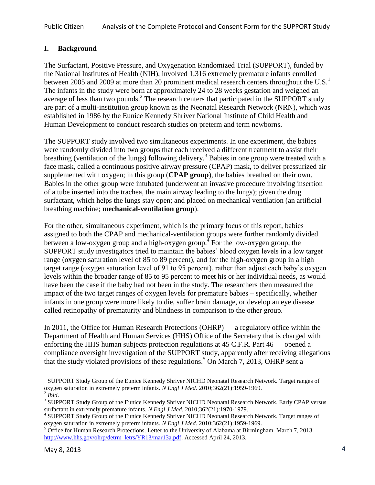## **I. Background**

The Surfactant, Positive Pressure, and Oxygenation Randomized Trial (SUPPORT), funded by the National Institutes of Health (NIH), involved 1,316 extremely premature infants enrolled between 2005 and 2009 at more than 20 prominent medical research centers throughout the U.S.<sup>1</sup> The infants in the study were born at approximately 24 to 28 weeks gestation and weighed an average of less than two pounds.<sup>2</sup> The research centers that participated in the SUPPORT study are part of a multi-institution group known as the Neonatal Research Network (NRN), which was established in 1986 by the Eunice Kennedy Shriver National Institute of Child Health and Human Development to conduct research studies on preterm and term newborns.

The SUPPORT study involved two simultaneous experiments. In one experiment, the babies were randomly divided into two groups that each received a different treatment to assist their breathing (ventilation of the lungs) following delivery.<sup>3</sup> Babies in one group were treated with a face mask, called a continuous positive airway pressure (CPAP) mask, to deliver pressurized air supplemented with oxygen; in this group (**CPAP group**), the babies breathed on their own. Babies in the other group were intubated (underwent an invasive procedure involving insertion of a tube inserted into the trachea, the main airway leading to the lungs); given the drug surfactant, which helps the lungs stay open; and placed on mechanical ventilation (an artificial breathing machine; **mechanical-ventilation group**).

For the other, simultaneous experiment, which is the primary focus of this report, babies assigned to both the CPAP and mechanical-ventilation groups were further randomly divided between a low-oxygen group and a high-oxygen group.<sup>4</sup> For the low-oxygen group, the SUPPORT study investigators tried to maintain the babies' blood oxygen levels in a low target range (oxygen saturation level of 85 to 89 percent), and for the high-oxygen group in a high target range (oxygen saturation level of 91 to 95 percent), rather than adjust each baby's oxygen levels within the broader range of 85 to 95 percent to meet his or her individual needs, as would have been the case if the baby had not been in the study. The researchers then measured the impact of the two target ranges of oxygen levels for premature babies – specifically, whether infants in one group were more likely to die, suffer brain damage, or develop an eye disease called retinopathy of prematurity and blindness in comparison to the other group.

In 2011, the Office for Human Research Protections (OHRP) — a regulatory office within the Department of Health and Human Services (HHS) Office of the Secretary that is charged with enforcing the HHS human subjects protection regulations at 45 C.F.R. Part 46 — opened a compliance oversight investigation of the SUPPORT study, apparently after receiving allegations that the study violated provisions of these regulations. <sup>5</sup> On March 7, 2013, OHRP sent a

<sup>&</sup>lt;sup>1</sup> SUPPORT Study Group of the Eunice Kennedy Shriver NICHD Neonatal Research Network. Target ranges of oxygen saturation in extremely preterm infants. *N Engl J Med.* 2010;362(21):1959-1969.  $^2$  *Ibid.* 

<sup>&</sup>lt;sup>3</sup> SUPPORT Study Group of the Eunice Kennedy Shriver NICHD Neonatal Research Network. Early CPAP versus surfactant in extremely premature infants. *N Engl J Med.* 2010;362(21):1970-1979.

<sup>&</sup>lt;sup>4</sup> SUPPORT Study Group of the Eunice Kennedy Shriver NICHD Neonatal Research Network. Target ranges of oxygen saturation in extremely preterm infants. *N Engl J Med.* 2010;362(21):1959-1969.

 $<sup>5</sup>$  Office for Human Research Protections. Letter to the University of Alabama at Birmingham. March 7, 2013.</sup> [http://www.hhs.gov/ohrp/detrm\\_letrs/YR13/mar13a.pdf.](http://www.hhs.gov/ohrp/detrm_letrs/YR13/mar13a.pdf) Accessed April 24, 2013.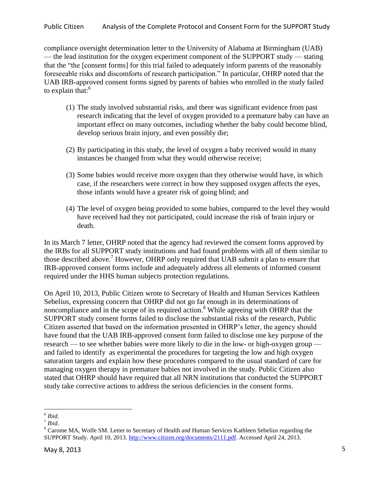compliance oversight determination letter to the University of Alabama at Birmingham (UAB) — the lead institution for the oxygen experiment component of the SUPPORT study — stating that the "the [consent forms] for this trial failed to adequately inform parents of the reasonably foreseeable risks and discomforts of research participation." In particular, OHRP noted that the UAB IRB-approved consent forms signed by parents of babies who enrolled in the study failed to explain that: $6$ 

- (1) The study involved substantial risks, and there was significant evidence from past research indicating that the level of oxygen provided to a premature baby can have an important effect on many outcomes, including whether the baby could become blind, develop serious brain injury, and even possibly die;
- (2) By participating in this study, the level of oxygen a baby received would in many instances be changed from what they would otherwise receive;
- (3) Some babies would receive more oxygen than they otherwise would have, in which case, if the researchers were correct in how they supposed oxygen affects the eyes, those infants would have a greater risk of going blind; and
- (4) The level of oxygen being provided to some babies, compared to the level they would have received had they not participated, could increase the risk of brain injury or death.

In its March 7 letter, OHRP noted that the agency had reviewed the consent forms approved by the IRBs for all SUPPORT study institutions and had found problems with all of them similar to those described above.<sup>7</sup> However, OHRP only required that UAB submit a plan to ensure that IRB-approved consent forms include and adequately address all elements of informed consent required under the HHS human subjects protection regulations.

On April 10, 2013, Public Citizen wrote to Secretary of Health and Human Services Kathleen Sebelius, expressing concern that OHRP did not go far enough in its determinations of noncompliance and in the scope of its required action.<sup>8</sup> While agreeing with OHRP that the SUPPORT study consent forms failed to disclose the substantial risks of the research, Public Citizen asserted that based on the information presented in OHRP's letter, the agency should have found that the UAB IRB-approved consent form failed to disclose one key purpose of the research — to see whether babies were more likely to die in the low- or high-oxygen group and failed to identify as experimental the procedures for targeting the low and high oxygen saturation targets and explain how these procedures compared to the usual standard of care for managing oxygen therapy in premature babies not involved in the study. Public Citizen also stated that OHRP should have required that all NRN institutions that conducted the SUPPORT study take corrective actions to address the serious deficiencies in the consent forms.

 $\overline{a}$ 6 *Ibid*.

<sup>7</sup> *Ibid*.

<sup>&</sup>lt;sup>8</sup> Carome MA, Wolfe SM. Letter to Secretary of Health and Human Services Kathleen Sebelius regarding the SUPPORT Study. April 10, 2013. [http://www.citizen.org/documents/2111.pdf.](http://www.citizen.org/documents/2111.pdf) Accessed April 24, 2013.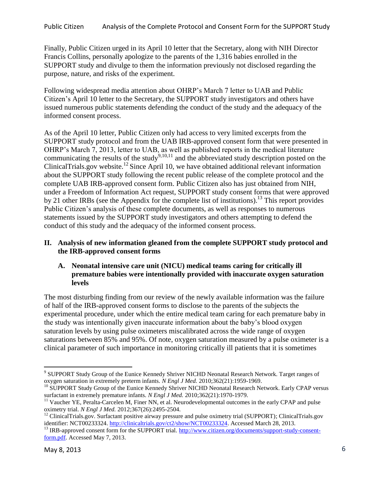Finally, Public Citizen urged in its April 10 letter that the Secretary, along with NIH Director Francis Collins, personally apologize to the parents of the 1,316 babies enrolled in the SUPPORT study and divulge to them the information previously not disclosed regarding the purpose, nature, and risks of the experiment.

Following widespread media attention about OHRP's March 7 letter to UAB and Public Citizen's April 10 letter to the Secretary, the SUPPORT study investigators and others have issued numerous public statements defending the conduct of the study and the adequacy of the informed consent process.

As of the April 10 letter, Public Citizen only had access to very limited excerpts from the SUPPORT study protocol and from the UAB IRB-approved consent form that were presented in OHRP's March 7, 2013, letter to UAB, as well as published reports in the medical literature communicating the results of the study<sup>9,10,11</sup> and the abbreviated study description posted on the ClinicalTrials.gov website.<sup>12</sup> Since April 10, we have obtained additional relevant information about the SUPPORT study following the recent public release of the complete protocol and the complete UAB IRB-approved consent form. Public Citizen also has just obtained from NIH, under a Freedom of Information Act request, SUPPORT study consent forms that were approved by 21 other IRBs (see the Appendix for the complete list of institutions).<sup>13</sup> This report provides Public Citizen's analysis of these complete documents, as well as responses to numerous statements issued by the SUPPORT study investigators and others attempting to defend the conduct of this study and the adequacy of the informed consent process.

#### **II. Analysis of new information gleaned from the complete SUPPORT study protocol and the IRB-approved consent forms**

#### **A. Neonatal intensive care unit (NICU) medical teams caring for critically ill premature babies were intentionally provided with inaccurate oxygen saturation levels**

The most disturbing finding from our review of the newly available information was the failure of half of the IRB-approved consent forms to disclose to the parents of the subjects the experimental procedure, under which the entire medical team caring for each premature baby in the study was intentionally given inaccurate information about the baby's blood oxygen saturation levels by using pulse oximeters miscalibrated across the wide range of oxygen saturations between 85% and 95%. Of note, oxygen saturation measured by a pulse oximeter is a clinical parameter of such importance in monitoring critically ill patients that it is sometimes

<sup>&</sup>lt;sup>9</sup> SUPPORT Study Group of the Eunice Kennedy Shriver NICHD Neonatal Research Network. Target ranges of oxygen saturation in extremely preterm infants. *N Engl J Med.* 2010;362(21):1959-1969.

<sup>&</sup>lt;sup>10</sup> SUPPORT Study Group of the Eunice Kennedy Shriver NICHD Neonatal Research Network. Early CPAP versus surfactant in extremely premature infants. *N Engl J Med.* 2010;362(21):1970-1979.

 $11$  Vaucher YE, Peralta-Carcelen M, Finer NN, et al. Neurodevelopmental outcomes in the early CPAP and pulse oximetry trial. *N Engl J Med.* 2012;367(26):2495-2504.

 $12$  ClinicalTrials.gov. Surfactant positive airway pressure and pulse oximetry trial (SUPPORT); ClinicalTrials.gov identifier: NCT00233324. [http://clinicaltrials.gov/ct2/show/NCT00233324.](http://clinicaltrials.gov/ct2/show/NCT00233324) Accessed March 28, 2013.

<sup>&</sup>lt;sup>13</sup> IRB-approved consent form for the SUPPORT trial. [http://www.citizen.org/documents/support-study-consent](http://www.citizen.org/documents/support-study-consent-form.pdf)[form.pdf.](http://www.citizen.org/documents/support-study-consent-form.pdf) Accessed May 7, 2013.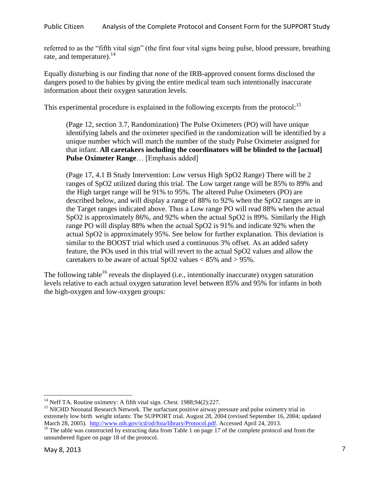referred to as the "fifth vital sign" (the first four vital signs being pulse, blood pressure, breathing rate, and temperature). $^{14}$ 

Equally disturbing is our finding that *none* of the IRB-approved consent forms disclosed the dangers posed to the babies by giving the entire medical team such intentionally inaccurate information about their oxygen saturation levels.

This experimental procedure is explained in the following excerpts from the protocol:<sup>15</sup>

(Page 12, section 3.7, Randomization) The Pulse Oximeters (PO) will have unique identifying labels and the oximeter specified in the randomization will be identified by a unique number which will match the number of the study Pulse Oximeter assigned for that infant. **All caretakers including the coordinators will be blinded to the [actual] Pulse Oximeter Range**… [Emphasis added]

(Page 17, 4.1 B Study Intervention: Low versus High SpO2 Range) There will be 2 ranges of SpO2 utilized during this trial. The Low target range will be 85% to 89% and the High target range will be 91% to 95%. The altered Pulse Oximeters (PO) are described below, and will display a range of 88% to 92% when the SpO2 ranges are in the Target ranges indicated above. Thus a Low range PO will read 88% when the actual SpO2 is approximately 86%, and 92% when the actual SpO2 is 89%. Similarly the High range PO will display 88% when the actual SpO2 is 91% and indicate 92% when the actual SpO2 is approximately 95%. See below for further explanation. This deviation is similar to the BOOST trial which used a continuous 3% offset. As an added safety feature, the POs used in this trial will revert to the actual SpO2 values and allow the caretakers to be aware of actual SpO2 values  $< 85\%$  and  $> 95\%$ .

The following table<sup>16</sup> reveals the displayed (i.e., intentionally inaccurate) oxygen saturation levels relative to each actual oxygen saturation level between 85% and 95% for infants in both the high-oxygen and low-oxygen groups:

<sup>14</sup> Neff TA. Routine oximetry: A fifth vital sign. *Chest.* 1988;94(2):227.

<sup>&</sup>lt;sup>15</sup> NICHD Neonatal Research Network. The surfactant positive airway pressure and pulse oximetry trial in extremely low birth weight infants: The SUPPORT trial. August 28, 2004 (revised September 16, 2004; updated March 28, 2005).[http://www.nih.gov/icd/od/foia/library/Protocol.pdf.](http://www.nih.gov/icd/od/foia/library/Protocol.pdf) Accessed April 24, 2013.

<sup>&</sup>lt;sup>16</sup> The table was constructed by extracting data from Table 1 on page 17 of the complete protocol and from the unnumbered figure on page 18 of the protocol.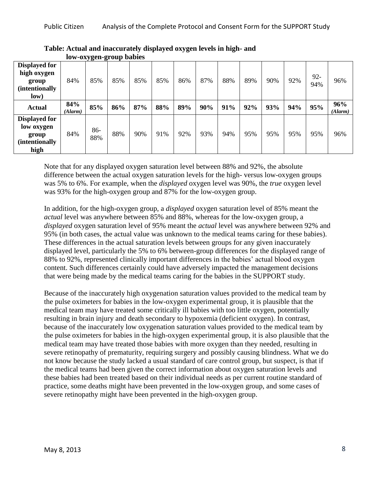|                                                                                |                |            | TOW 0476cm group bubles |     |     |     |     |     |     |     |     |               |                |
|--------------------------------------------------------------------------------|----------------|------------|-------------------------|-----|-----|-----|-----|-----|-----|-----|-----|---------------|----------------|
| <b>Displayed for</b><br>high oxygen<br>group<br><i>(intentionally)</i><br>low) | 84%            | 85%        | 85%                     | 85% | 85% | 86% | 87% | 88% | 89% | 90% | 92% | $92 -$<br>94% | 96%            |
| <b>Actual</b>                                                                  | 84%<br>(Alarm) | 85%        | 86%                     | 87% | 88% | 89% | 90% | 91% | 92% | 93% | 94% | 95%           | 96%<br>(Alarm) |
| <b>Displayed for</b><br>low oxygen<br>group<br><i>(intentionally)</i><br>high  | 84%            | 86-<br>88% | 88%                     | 90% | 91% | 92% | 93% | 94% | 95% | 95% | 95% | 95%           | 96%            |

**Table: Actual and inaccurately displayed oxygen levels in high- and low-oxygen-group babies** 

Note that for any displayed oxygen saturation level between 88% and 92%, the absolute difference between the actual oxygen saturation levels for the high- versus low-oxygen groups was 5% to 6%. For example, when the *displayed* oxygen level was 90%, the *true* oxygen level was 93% for the high-oxygen group and 87% for the low-oxygen group.

In addition, for the high-oxygen group, a *displayed* oxygen saturation level of 85% meant the *actual* level was anywhere between 85% and 88%, whereas for the low-oxygen group, a *displayed* oxygen saturation level of 95% meant the *actual* level was anywhere between 92% and 95% (in both cases, the actual value was unknown to the medical teams caring for these babies). These differences in the actual saturation levels between groups for any given inaccurately displayed level, particularly the 5% to 6% between-group differences for the displayed range of 88% to 92%, represented clinically important differences in the babies' actual blood oxygen content. Such differences certainly could have adversely impacted the management decisions that were being made by the medical teams caring for the babies in the SUPPORT study.

Because of the inaccurately high oxygenation saturation values provided to the medical team by the pulse oximeters for babies in the low-oxygen experimental group, it is plausible that the medical team may have treated some critically ill babies with too little oxygen, potentially resulting in brain injury and death secondary to hypoxemia (deficient oxygen). In contrast, because of the inaccurately low oxygenation saturation values provided to the medical team by the pulse oximeters for babies in the high-oxygen experimental group, it is also plausible that the medical team may have treated those babies with more oxygen than they needed, resulting in severe retinopathy of prematurity, requiring surgery and possibly causing blindness. What we do not know because the study lacked a usual standard of care control group, but suspect, is that if the medical teams had been given the correct information about oxygen saturation levels and these babies had been treated based on their individual needs as per current routine standard of practice, some deaths might have been prevented in the low-oxygen group, and some cases of severe retinopathy might have been prevented in the high-oxygen group.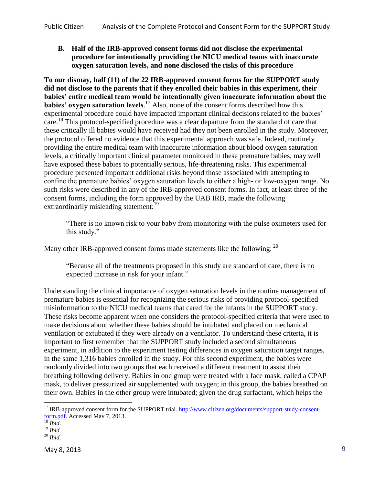**B. Half of the IRB-approved consent forms did not disclose the experimental procedure for intentionally providing the NICU medical teams with inaccurate oxygen saturation levels, and none disclosed the risks of this procedure**

**To our dismay, half (11) of the 22 IRB-approved consent forms for the SUPPORT study did not disclose to the parents that if they enrolled their babies in this experiment, their babies' entire medical team would be intentionally given inaccurate information about the babies' oxygen saturation levels.**<sup>17</sup> Also, none of the consent forms described how this experimental procedure could have impacted important clinical decisions related to the babies' care.<sup>18</sup> This protocol-specified procedure was a clear departure from the standard of care that these critically ill babies would have received had they not been enrolled in the study. Moreover, the protocol offered no evidence that this experimental approach was safe. Indeed, routinely providing the entire medical team with inaccurate information about blood oxygen saturation levels, a critically important clinical parameter monitored in these premature babies, may well have exposed these babies to potentially serious, life-threatening risks. This experimental procedure presented important additional risks beyond those associated with attempting to confine the premature babies' oxygen saturation levels to either a high- or low-oxygen range. No such risks were described in any of the IRB-approved consent forms. In fact, at least three of the consent forms, including the form approved by the UAB IRB, made the following extraordinarily misleading statement:<sup>19</sup>

"There is no known risk to your baby from monitoring with the pulse oximeters used for this study."

Many other IRB-approved consent forms made statements like the following: <sup>20</sup>

"Because all of the treatments proposed in this study are standard of care, there is no expected increase in risk for your infant."

Understanding the clinical importance of oxygen saturation levels in the routine management of premature babies is essential for recognizing the serious risks of providing protocol-specified misinformation to the NICU medical teams that cared for the infants in the SUPPORT study. These risks become apparent when one considers the protocol-specified criteria that were used to make decisions about whether these babies should be intubated and placed on mechanical ventilation or extubated if they were already on a ventilator. To understand these criteria, it is important to first remember that the SUPPORT study included a second simultaneous experiment, in addition to the experiment testing differences in oxygen saturation target ranges, in the same 1,316 babies enrolled in the study. For this second experiment, the babies were randomly divided into two groups that each received a different treatment to assist their breathing following delivery. Babies in one group were treated with a face mask, called a CPAP mask, to deliver pressurized air supplemented with oxygen; in this group, the babies breathed on their own. Babies in the other group were intubated; given the drug surfactant, which helps the

<sup>&</sup>lt;sup>17</sup> IRB-approved consent form for the SUPPORT trial. [http://www.citizen.org/documents/support-study-consent](http://www.citizen.org/documents/support-study-consent-form.pdf)[form.pdf.](http://www.citizen.org/documents/support-study-consent-form.pdf) Accessed May 7, 2013.

<sup>18</sup> *Ibid*.

<sup>19</sup> *Ibid*.

<sup>20</sup> *Ibid*.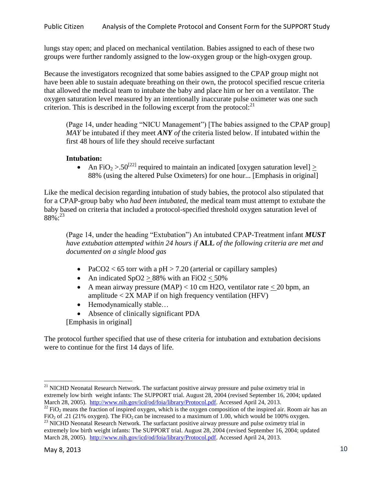lungs stay open; and placed on mechanical ventilation. Babies assigned to each of these two groups were further randomly assigned to the low-oxygen group or the high-oxygen group.

Because the investigators recognized that some babies assigned to the CPAP group might not have been able to sustain adequate breathing on their own, the protocol specified rescue criteria that allowed the medical team to intubate the baby and place him or her on a ventilator. The oxygen saturation level measured by an intentionally inaccurate pulse oximeter was one such criterion. This is described in the following excerpt from the protocol: $^{21}$ 

(Page 14, under heading "NICU Management") [The babies assigned to the CPAP group] *MAY* be intubated if they meet *ANY of* the criteria listed below. If intubated within the first 48 hours of life they should receive surfactant

# **Intubation:**

• An FiO<sub>2</sub> > .50<sup>[22]</sup> required to maintain an indicated [oxygen saturation level]  $\geq$ 88% (using the altered Pulse Oximeters) for one hour... [Emphasis in original]

Like the medical decision regarding intubation of study babies, the protocol also stipulated that for a CPAP-group baby who *had been intubated*, the medical team must attempt to extubate the baby based on criteria that included a protocol-specified threshold oxygen saturation level of  $88\%$ :  $^{23}$ 

(Page 14, under the heading "Extubation") An intubated CPAP-Treatment infant *MUST have extubation attempted within 24 hours if* **ALL** *of the following criteria are met and documented on a single blood gas*

- PaCO2 < 65 torr with a  $pH > 7.20$  (arterial or capillary samples)
- An indicated  $SpO2 > 88\%$  with an FiO2 < 50%
- A mean airway pressure  $(MAP) < 10$  cm H2O, ventilator rate  $< 20$  bpm, an amplitude  $\langle 2X \text{ MAP if on high frequency ventilation (HFV)} \rangle$
- Hemodynamically stable...
- Absence of clinically significant PDA [Emphasis in original]

The protocol further specified that use of these criteria for intubation and extubation decisions were to continue for the first 14 days of life.

<sup>&</sup>lt;sup>21</sup> NICHD Neonatal Research Network. The surfactant positive airway pressure and pulse oximetry trial in extremely low birth weight infants: The SUPPORT trial. August 28, 2004 (revised September 16, 2004; updated March 28, 2005).[http://www.nih.gov/icd/od/foia/library/Protocol.pdf.](http://www.nih.gov/icd/od/foia/library/Protocol.pdf) Accessed April 24, 2013.

 $22$  FiO<sub>2</sub> means the fraction of inspired oxygen, which is the oxygen composition of the inspired air. Room air has an FiO<sub>2</sub> of .21 (21% oxygen). The FiO<sub>2</sub> can be increased to a maximum of 1.00, which would be 100% oxygen.

<sup>&</sup>lt;sup>23</sup> NICHD Neonatal Research Network. The surfactant positive airway pressure and pulse oximetry trial in extremely low birth weight infants: The SUPPORT trial. August 28, 2004 (revised September 16, 2004; updated March 28, 2005).[http://www.nih.gov/icd/od/foia/library/Protocol.pdf.](http://www.nih.gov/icd/od/foia/library/Protocol.pdf) Accessed April 24, 2013.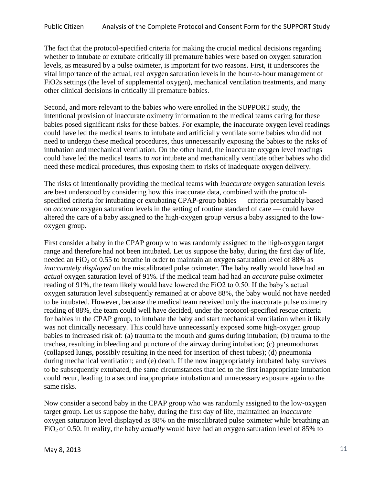The fact that the protocol-specified criteria for making the crucial medical decisions regarding whether to intubate or extubate critically ill premature babies were based on oxygen saturation levels, as measured by a pulse oximeter, is important for two reasons. First, it underscores the vital importance of the actual, real oxygen saturation levels in the hour-to-hour management of FiO2s settings (the level of supplemental oxygen), mechanical ventilation treatments, and many other clinical decisions in critically ill premature babies.

Second, and more relevant to the babies who were enrolled in the SUPPORT study, the intentional provision of inaccurate oximetry information to the medical teams caring for these babies posed significant risks for these babies. For example, the inaccurate oxygen level readings could have led the medical teams to intubate and artificially ventilate some babies who did not need to undergo these medical procedures, thus unnecessarily exposing the babies to the risks of intubation and mechanical ventilation. On the other hand, the inaccurate oxygen level readings could have led the medical teams to *not* intubate and mechanically ventilate other babies who did need these medical procedures, thus exposing them to risks of inadequate oxygen delivery.

The risks of intentionally providing the medical teams with *inaccurate* oxygen saturation levels are best understood by considering how this inaccurate data, combined with the protocolspecified criteria for intubating or extubating CPAP-group babies — criteria presumably based on *accurate* oxygen saturation levels in the setting of routine standard of care — could have altered the care of a baby assigned to the high-oxygen group versus a baby assigned to the lowoxygen group.

First consider a baby in the CPAP group who was randomly assigned to the high-oxygen target range and therefore had not been intubated. Let us suppose the baby, during the first day of life, needed an  $FiO<sub>2</sub>$  of 0.55 to breathe in order to maintain an oxygen saturation level of 88% as *inaccurately displayed* on the miscalibrated pulse oximeter. The baby really would have had an *actual* oxygen saturation level of 91%. If the medical team had had an *accurate* pulse oximeter reading of 91%, the team likely would have lowered the FiO2 to 0.50. If the baby's actual oxygen saturation level subsequently remained at or above 88%, the baby would not have needed to be intubated. However, because the medical team received only the inaccurate pulse oximetry reading of 88%, the team could well have decided, under the protocol-specified rescue criteria for babies in the CPAP group, to intubate the baby and start mechanical ventilation when it likely was not clinically necessary. This could have unnecessarily exposed some high-oxygen group babies to increased risk of: (a) trauma to the mouth and gums during intubation; (b) trauma to the trachea, resulting in bleeding and puncture of the airway during intubation; (c) pneumothorax (collapsed lungs, possibly resulting in the need for insertion of chest tubes); (d) pneumonia during mechanical ventilation; and (e) death. If the now inappropriately intubated baby survives to be subsequently extubated, the same circumstances that led to the first inappropriate intubation could recur, leading to a second inappropriate intubation and unnecessary exposure again to the same risks.

Now consider a second baby in the CPAP group who was randomly assigned to the low-oxygen target group. Let us suppose the baby, during the first day of life, maintained an *inaccurate*  oxygen saturation level displayed as 88% on the miscalibrated pulse oximeter while breathing an FiO2 of 0.50. In reality, the baby *actually* would have had an oxygen saturation level of 85% to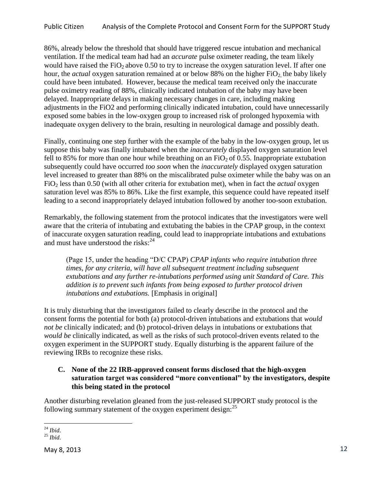Public Citizen Analysis of the Complete Protocol and Consent Form for the SUPPORT Study

86%, already below the threshold that should have triggered rescue intubation and mechanical ventilation. If the medical team had had an *accurate* pulse oximeter reading, the team likely would have raised the  $FiO_2$  above 0.50 to try to increase the oxygen saturation level. If after one hour, the *actual* oxygen saturation remained at or below 88% on the higher FiO<sub>2</sub> the baby likely could have been intubated. However, because the medical team received only the inaccurate pulse oximetry reading of 88%, clinically indicated intubation of the baby may have been delayed. Inappropriate delays in making necessary changes in care, including making adjustments in the FiO2 and performing clinically indicated intubation, could have unnecessarily exposed some babies in the low-oxygen group to increased risk of prolonged hypoxemia with inadequate oxygen delivery to the brain, resulting in neurological damage and possibly death.

Finally, continuing one step further with the example of the baby in the low-oxygen group, let us suppose this baby was finally intubated when the *inaccurately* displayed oxygen saturation level fell to 85% for more than one hour while breathing on an  $FiO<sub>2</sub>$  of 0.55. Inappropriate extubation subsequently could have occurred *too soon* when the *inaccurately* displayed oxygen saturation level increased to greater than 88% on the miscalibrated pulse oximeter while the baby was on an FiO<sup>2</sup> less than 0.50 (with all other criteria for extubation met), when in fact the *actual* oxygen saturation level was 85% to 86%. Like the first example, this sequence could have repeated itself leading to a second inappropriately delayed intubation followed by another too-soon extubation.

Remarkably, the following statement from the protocol indicates that the investigators were well aware that the criteria of intubating and extubating the babies in the CPAP group, in the context of inaccurate oxygen saturation reading, could lead to inappropriate intubations and extubations and must have understood the risks: $24$ 

(Page 15, under the heading "D/C CPAP) *CPAP infants who require intubation three times, for any criteria, will have all subsequent treatment including subsequent extubations and any further re-intubations performed using unit Standard of Care. This addition is to prevent such infants from being exposed to further protocol driven intubations and extubations.* [Emphasis in original]

It is truly disturbing that the investigators failed to clearly describe in the protocol and the consent forms the potential for both (a) protocol-driven intubations and extubations that *would not be* clinically indicated; and (b) protocol-driven delays in intubations or extubations that *would be* clinically indicated, as well as the risks of such protocol-driven events related to the oxygen experiment in the SUPPORT study. Equally disturbing is the apparent failure of the reviewing IRBs to recognize these risks.

# **C. None of the 22 IRB-approved consent forms disclosed that the high-oxygen saturation target was considered "more conventional" by the investigators, despite this being stated in the protocol**

Another disturbing revelation gleaned from the just-released SUPPORT study protocol is the following summary statement of the oxygen experiment design: $^{25}$ 

 $\overline{a}$ <sup>24</sup> *Ibid*.

<sup>25</sup> *Ibid*.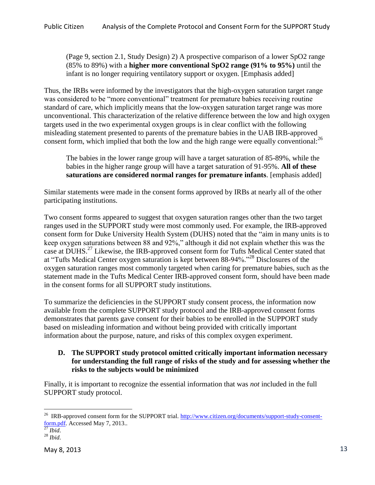(Page 9, section 2.1, Study Design) 2) A prospective comparison of a lower SpO2 range (85% to 89%) with a **higher more conventional SpO2 range (91% to 95%)** until the infant is no longer requiring ventilatory support or oxygen. [Emphasis added]

Thus, the IRBs were informed by the investigators that the high-oxygen saturation target range was considered to be "more conventional" treatment for premature babies receiving routine standard of care, which implicitly means that the low-oxygen saturation target range was more unconventional. This characterization of the relative difference between the low and high oxygen targets used in the two experimental oxygen groups is in clear conflict with the following misleading statement presented to parents of the premature babies in the UAB IRB-approved consent form, which implied that both the low and the high range were equally conventional:<sup>26</sup>

The babies in the lower range group will have a target saturation of 85-89%, while the babies in the higher range group will have a target saturation of 91-95%. **All of these saturations are considered normal ranges for premature infants**. [emphasis added]

Similar statements were made in the consent forms approved by IRBs at nearly all of the other participating institutions.

Two consent forms appeared to suggest that oxygen saturation ranges other than the two target ranges used in the SUPPORT study were most commonly used. For example, the IRB-approved consent form for Duke University Health System (DUHS) noted that the "aim in many units is to keep oxygen saturations between 88 and 92%," although it did not explain whether this was the case at DUHS.<sup>27</sup> Likewise, the IRB-approved consent form for Tufts Medical Center stated that at "Tufts Medical Center oxygen saturation is kept between 88-94%."<sup>28</sup> Disclosures of the oxygen saturation ranges most commonly targeted when caring for premature babies, such as the statement made in the Tufts Medical Center IRB-approved consent form, should have been made in the consent forms for all SUPPORT study institutions.

To summarize the deficiencies in the SUPPORT study consent process, the information now available from the complete SUPPORT study protocol and the IRB-approved consent forms demonstrates that parents gave consent for their babies to be enrolled in the SUPPORT study based on misleading information and without being provided with critically important information about the purpose, nature, and risks of this complex oxygen experiment.

#### **D. The SUPPORT study protocol omitted critically important information necessary for understanding the full range of risks of the study and for assessing whether the risks to the subjects would be minimized**

Finally, it is important to recognize the essential information that was *not* included in the full SUPPORT study protocol.

<sup>&</sup>lt;sup>26</sup> IRB-approved consent form for the SUPPORT trial. [http://www.citizen.org/documents/support-study-consent](http://www.citizen.org/documents/support-study-consent-form.pdf)[form.pdf.](http://www.citizen.org/documents/support-study-consent-form.pdf) Accessed May 7, 2013..

<sup>27</sup> *Ibid*.

<sup>28</sup> *Ibid*.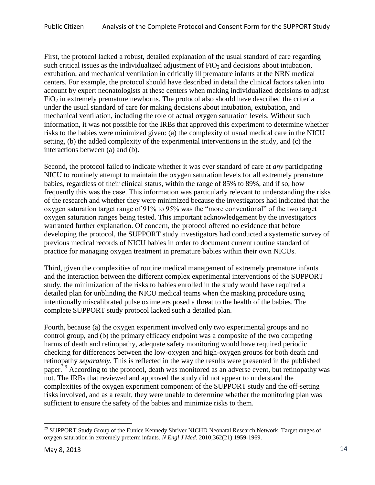First, the protocol lacked a robust, detailed explanation of the usual standard of care regarding such critical issues as the individualized adjustment of  $FiO<sub>2</sub>$  and decisions about intubation, extubation, and mechanical ventilation in critically ill premature infants at the NRN medical centers. For example, the protocol should have described in detail the clinical factors taken into account by expert neonatologists at these centers when making individualized decisions to adjust  $FiO<sub>2</sub>$  in extremely premature newborns. The protocol also should have described the criteria under the usual standard of care for making decisions about intubation, extubation, and mechanical ventilation, including the role of actual oxygen saturation levels. Without such information, it was not possible for the IRBs that approved this experiment to determine whether risks to the babies were minimized given: (a) the complexity of usual medical care in the NICU setting, (b) the added complexity of the experimental interventions in the study, and (c) the interactions between (a) and (b).

Second, the protocol failed to indicate whether it was ever standard of care at *any* participating NICU to routinely attempt to maintain the oxygen saturation levels for all extremely premature babies, regardless of their clinical status, within the range of 85% to 89%, and if so, how frequently this was the case. This information was particularly relevant to understanding the risks of the research and whether they were minimized because the investigators had indicated that the oxygen saturation target range of 91% to 95% was the "more conventional" of the two target oxygen saturation ranges being tested. This important acknowledgement by the investigators warranted further explanation. Of concern, the protocol offered no evidence that before developing the protocol, the SUPPORT study investigators had conducted a systematic survey of previous medical records of NICU babies in order to document current routine standard of practice for managing oxygen treatment in premature babies within their own NICUs.

Third, given the complexities of routine medical management of extremely premature infants and the interaction between the different complex experimental interventions of the SUPPORT study, the minimization of the risks to babies enrolled in the study would have required a detailed plan for unblinding the NICU medical teams when the masking procedure using intentionally miscalibrated pulse oximeters posed a threat to the health of the babies. The complete SUPPORT study protocol lacked such a detailed plan.

Fourth, because (a) the oxygen experiment involved only two experimental groups and no control group, and (b) the primary efficacy endpoint was a composite of the two competing harms of death and retinopathy, adequate safety monitoring would have required periodic checking for differences between the low-oxygen and high-oxygen groups for both death and retinopathy *separately.* This is reflected in the way the results were presented in the published paper.<sup>29</sup> According to the protocol, death was monitored as an adverse event, but retinopathy was not. The IRBs that reviewed and approved the study did not appear to understand the complexities of the oxygen experiment component of the SUPPORT study and the off-setting risks involved, and as a result, they were unable to determine whether the monitoring plan was sufficient to ensure the safety of the babies and minimize risks to them.

<sup>&</sup>lt;sup>29</sup> SUPPORT Study Group of the Eunice Kennedy Shriver NICHD Neonatal Research Network. Target ranges of oxygen saturation in extremely preterm infants. *N Engl J Med.* 2010;362(21):1959-1969.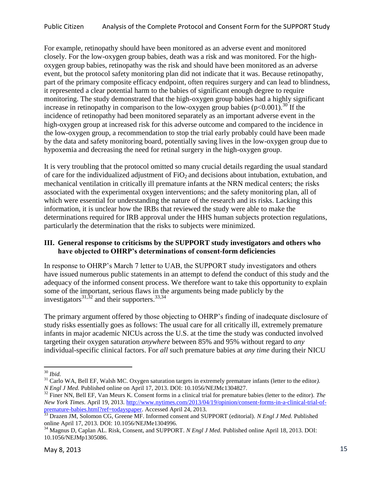For example, retinopathy should have been monitored as an adverse event and monitored closely. For the low-oxygen group babies, death was a risk and was monitored. For the highoxygen group babies, retinopathy was the risk and should have been monitored as an adverse event, but the protocol safety monitoring plan did not indicate that it was. Because retinopathy, part of the primary composite efficacy endpoint, often requires surgery and can lead to blindness, it represented a clear potential harm to the babies of significant enough degree to require monitoring. The study demonstrated that the high-oxygen group babies had a highly significant increase in retinopathy in comparison to the low-oxygen group babies  $(p<0.001)$ .<sup>30</sup> If the incidence of retinopathy had been monitored separately as an important adverse event in the high-oxygen group at increased risk for this adverse outcome and compared to the incidence in the low-oxygen group, a recommendation to stop the trial early probably could have been made by the data and safety monitoring board, potentially saving lives in the low-oxygen group due to hypoxemia and decreasing the need for retinal surgery in the high-oxygen group.

It is very troubling that the protocol omitted so many crucial details regarding the usual standard of care for the individualized adjustment of  $FiO<sub>2</sub>$  and decisions about intubation, extubation, and mechanical ventilation in critically ill premature infants at the NRN medical centers; the risks associated with the experimental oxygen interventions; and the safety monitoring plan, all of which were essential for understanding the nature of the research and its risks. Lacking this information, it is unclear how the IRBs that reviewed the study were able to make the determinations required for IRB approval under the HHS human subjects protection regulations, particularly the determination that the risks to subjects were minimized.

#### **III. General response to criticisms by the SUPPORT study investigators and others who have objected to OHRP's determinations of consent-form deficiencies**

In response to OHRP's March 7 letter to UAB, the SUPPORT study investigators and others have issued numerous public statements in an attempt to defend the conduct of this study and the adequacy of the informed consent process. We therefore want to take this opportunity to explain some of the important, serious flaws in the arguments being made publicly by the investigators $31,32$  and their supporters.  $33,34$ 

The primary argument offered by those objecting to OHRP's finding of inadequate disclosure of study risks essentially goes as follows: The usual care for all critically ill, extremely premature infants in major academic NICUs across the U.S. at the time the study was conducted involved targeting their oxygen saturation *anywhere* between 85% and 95% without regard to *any* individual-specific clinical factors. For *all* such premature babies at *any time* during their NICU

 $\overline{a}$ <sup>30</sup> *Ibid.*

<sup>31</sup> Carlo WA, Bell EF, Walsh MC. Oxygen saturation targets in extremely premature infants (letter to the editor*). N Engl J Med.* Published online on April 17, 2013. DOI: 10.1056/NEJMc1304827.

<sup>32</sup> Finer NN, Bell EF, Van Meurs K. Consent forms in a clinical trial for premature babies (letter to the editor). *The New York Times.* April 19, 2013. [http://www.nytimes.com/2013/04/19/opinion/consent-forms-in-a-clinical-trial-of](http://www.nytimes.com/2013/04/19/opinion/consent-forms-in-a-clinical-trial-of-premature-babies.html?ref=todayspaper)[premature-babies.html?ref=todayspaper.](http://www.nytimes.com/2013/04/19/opinion/consent-forms-in-a-clinical-trial-of-premature-babies.html?ref=todayspaper) Accessed April 24, 2013.

<sup>33</sup> Drazen JM, Solomon CG, Greene MF. Informed consent and SUPPORT (editorial). *N Engl J Med.* Published online April 17, 2013. DOI: 10.1056/NEJMe1304996.

<sup>34</sup> Magnus D, Caplan AL. Risk, Consent, and SUPPORT. *N Engl J Med.* Published online April 18, 2013. DOI: 10.1056/NEJMp1305086.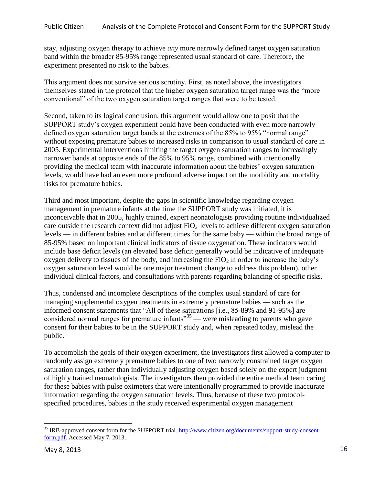stay, adjusting oxygen therapy to achieve *any* more narrowly defined target oxygen saturation band within the broader 85-95% range represented usual standard of care. Therefore, the experiment presented no risk to the babies.

This argument does not survive serious scrutiny. First, as noted above, the investigators themselves stated in the protocol that the higher oxygen saturation target range was the "more conventional" of the two oxygen saturation target ranges that were to be tested.

Second, taken to its logical conclusion, this argument would allow one to posit that the SUPPORT study's oxygen experiment could have been conducted with even more narrowly defined oxygen saturation target bands at the extremes of the 85% to 95% "normal range" without exposing premature babies to increased risks in comparison to usual standard of care in 2005. Experimental interventions limiting the target oxygen saturation ranges to increasingly narrower bands at opposite ends of the 85% to 95% range, combined with intentionally providing the medical team with inaccurate information about the babies' oxygen saturation levels, would have had an even more profound adverse impact on the morbidity and mortality risks for premature babies.

Third and most important, despite the gaps in scientific knowledge regarding oxygen management in premature infants at the time the SUPPORT study was initiated, it is inconceivable that in 2005, highly trained, expert neonatologists providing routine individualized care outside the research context did not adjust  $FiO<sub>2</sub>$  levels to achieve different oxygen saturation levels — in different babies and at different times for the same baby — within the broad range of 85-95% based on important clinical indicators of tissue oxygenation. These indicators would include base deficit levels (an elevated base deficit generally would be indicative of inadequate oxygen delivery to tissues of the body, and increasing the  $FiO<sub>2</sub>$  in order to increase the baby's oxygen saturation level would be one major treatment change to address this problem), other individual clinical factors, and consultations with parents regarding balancing of specific risks.

Thus, condensed and incomplete descriptions of the complex usual standard of care for managing supplemental oxygen treatments in extremely premature babies — such as the informed consent statements that "All of these saturations [i.e., 85-89% and 91-95%] are considered normal ranges for premature infants<sup> $35$ </sup> — were misleading to parents who gave consent for their babies to be in the SUPPORT study and, when repeated today, mislead the public.

To accomplish the goals of their oxygen experiment, the investigators first allowed a computer to randomly assign extremely premature babies to one of two narrowly constrained target oxygen saturation ranges, rather than individually adjusting oxygen based solely on the expert judgment of highly trained neonatologists. The investigators then provided the entire medical team caring for these babies with pulse oximeters that were intentionally programmed to provide inaccurate information regarding the oxygen saturation levels. Thus, because of these two protocolspecified procedures, babies in the study received experimental oxygen management

<sup>&</sup>lt;sup>35</sup> IRB-approved consent form for the SUPPORT trial. [http://www.citizen.org/documents/support-study-consent](http://www.citizen.org/documents/support-study-consent-form.pdf)[form.pdf.](http://www.citizen.org/documents/support-study-consent-form.pdf) Accessed May 7, 2013..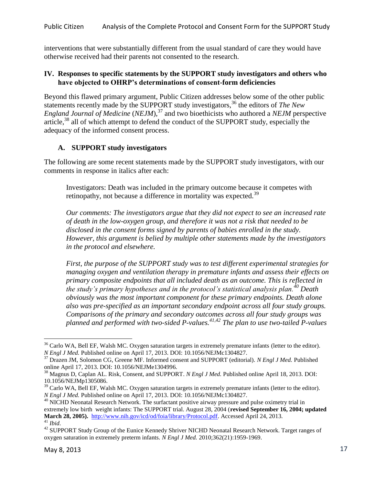interventions that were substantially different from the usual standard of care they would have otherwise received had their parents not consented to the research.

#### **IV. Responses to specific statements by the SUPPORT study investigators and others who have objected to OHRP's determinations of consent-form deficiencies**

Beyond this flawed primary argument, Public Citizen addresses below some of the other public statements recently made by the SUPPORT study investigators,<sup>36</sup> the editors of *The New England Journal of Medicine* (*NEJM*),<sup>37</sup> and two bioethicists who authored a *NEJM* perspective article, $38$  all of which attempt to defend the conduct of the SUPPORT study, especially the adequacy of the informed consent process.

#### **A. SUPPORT study investigators**

The following are some recent statements made by the SUPPORT study investigators, with our comments in response in italics after each:

Investigators: Death was included in the primary outcome because it competes with retinopathy, not because a difference in mortality was expected.<sup>39</sup>

*Our comments: The investigators argue that they did not expect to see an increased rate of death in the low-oxygen group, and therefore it was not a risk that needed to be disclosed in the consent forms signed by parents of babies enrolled in the study. However, this argument is belied by multiple other statements made by the investigators in the protocol and elsewhere.* 

*First, the purpose of the SUPPORT study was to test different experimental strategies for managing oxygen and ventilation therapy in premature infants and assess their effects on primary composite endpoints that all included death as an outcome. This is reflected in the study's primary hypotheses and in the protocol's statistical analysis plan.<sup>40</sup> Death obviously was the most important component for these primary endpoints. Death alone also was pre-specified as an important secondary endpoint across all four study groups. Comparisons of the primary and secondary outcomes across all four study groups was planned and performed with two-sided P-values.41,42 The plan to use two-tailed P-values* 

 $\overline{a}$ <sup>36</sup> Carlo WA, Bell EF, Walsh MC. Oxygen saturation targets in extremely premature infants (letter to the editor). *N Engl J Med.* Published online on April 17, 2013. DOI: 10.1056/NEJMc1304827.

<sup>37</sup> Drazen JM, Solomon CG, Greene MF. Informed consent and SUPPORT (editorial). *N Engl J Med.* Published online April 17, 2013. DOI: 10.1056/NEJMe1304996.

<sup>38</sup> Magnus D, Caplan AL. Risk, Consent, and SUPPORT. *N Engl J Med.* Published online April 18, 2013. DOI: 10.1056/NEJMp1305086.

<sup>&</sup>lt;sup>39</sup> Carlo WA, Bell EF, Walsh MC. Oxygen saturation targets in extremely premature infants (letter to the editor). *N Engl J Med.* Published online on April 17, 2013. DOI: 10.1056/NEJMc1304827.

<sup>&</sup>lt;sup>40</sup> NICHD Neonatal Research Network. The surfactant positive airway pressure and pulse oximetry trial in extremely low birth weight infants: The SUPPORT trial. August 28, 2004 (**revised September 16, 2004; updated March 28, 2005).** [http://www.nih.gov/icd/od/foia/library/Protocol.pdf.](http://www.nih.gov/icd/od/foia/library/Protocol.pdf) Accessed April 24, 2013. <sup>41</sup> *Ibid*.

<sup>&</sup>lt;sup>42</sup> SUPPORT Study Group of the Eunice Kennedy Shriver NICHD Neonatal Research Network. Target ranges of oxygen saturation in extremely preterm infants. *N Engl J Med.* 2010;362(21):1959-1969.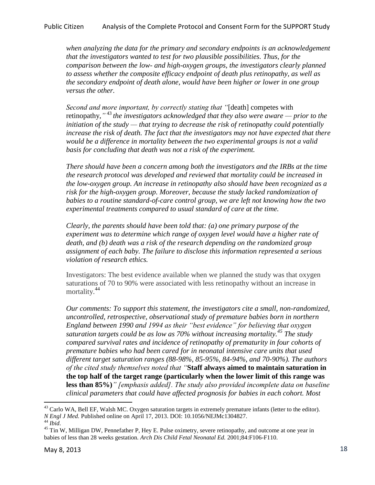#### Public Citizen Analysis of the Complete Protocol and Consent Form for the SUPPORT Study

*when analyzing the data for the primary and secondary endpoints is an acknowledgement that the investigators wanted to test for two plausible possibilities. Thus, for the comparison between the low- and high-oxygen groups, the investigators clearly planned to assess whether the composite efficacy endpoint of death plus retinopathy, as well as the secondary endpoint of death alone, would have been higher or lower in one group versus the other.* 

*Second and more important, by correctly stating that "*[death] competes with retinopathy,*"* <sup>43</sup> *the investigators acknowledged that they also were aware — prior to the initiation of the study — that trying to decrease the risk of retinopathy could potentially increase the risk of death. The fact that the investigators may not have expected that there would be a difference in mortality between the two experimental groups is not a valid basis for concluding that death was not a risk of the experiment.*

*There should have been a concern among both the investigators and the IRBs at the time the research protocol was developed and reviewed that mortality could be increased in the low-oxygen group. An increase in retinopathy also should have been recognized as a risk for the high-oxygen group. Moreover, because the study lacked randomization of babies to a routine standard-of-care control group, we are left not knowing how the two experimental treatments compared to usual standard of care at the time.*

*Clearly, the parents should have been told that: (a) one primary purpose of the experiment was to determine which range of oxygen level would have a higher rate of death, and (b) death was a risk of the research depending on the randomized group assignment of each baby. The failure to disclose this information represented a serious violation of research ethics.*

Investigators: The best evidence available when we planned the study was that oxygen saturations of 70 to 90% were associated with less retinopathy without an increase in mortality.<sup>44</sup>

*Our comments: To support this statement, the investigators cite a small, non-randomized, uncontrolled, retrospective, observational study of premature babies born in northern England between 1990 and 1994 as their "best evidence" for believing that oxygen saturation targets could be as low as 70% without increasing mortality.<sup>45</sup> The study compared survival rates and incidence of retinopathy of prematurity in four cohorts of premature babies who had been cared for in neonatal intensive care units that used different target saturation ranges (88-98%, 85-95%, 84-94%, and 70-90%). The authors of the cited study themselves noted that "***Staff always aimed to maintain saturation in the top half of the target range (particularly when the lower limit of this range was less than 85%)***" [emphasis added]. The study also provided incomplete data on baseline clinical parameters that could have affected prognosis for babies in each cohort. Most* 

 $^{43}$  Carlo WA, Bell EF, Walsh MC. Oxygen saturation targets in extremely premature infants (letter to the editor). *N Engl J Med.* Published online on April 17, 2013. DOI: 10.1056/NEJMc1304827. <sup>44</sup> *Ibid*.

<sup>&</sup>lt;sup>45</sup> Tin W, Milligan DW, Pennefather P, Hey E. Pulse oximetry, severe retinopathy, and outcome at one year in babies of less than 28 weeks gestation. *Arch Dis Child Fetal Neonatal Ed.* 2001;84:F106-F110.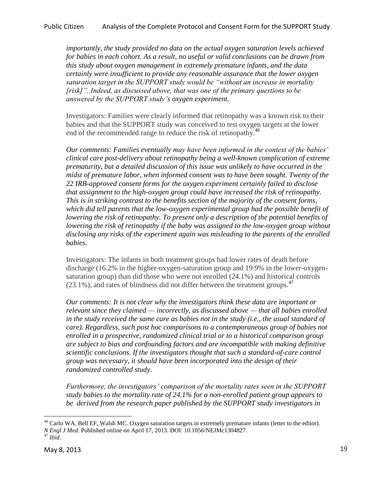Public Citizen Analysis of the Complete Protocol and Consent Form for the SUPPORT Study

*importantly, the study provided no data on the actual oxygen saturation levels achieved for babies in each cohort. As a result, no useful or valid conclusions can be drawn from this study about oxygen management in extremely premature infants, and the data certainly were insufficient to provide any reasonable assurance that the lower oxygen saturation target in the SUPPORT study would be "without an increase in mortality [risk]". Indeed, as discussed above, that was one of the primary questions to be answered by the SUPPORT study's oxygen experiment.* 

Investigators: Families were clearly informed that retinopathy was a known risk to their babies and that the SUPPORT study was conceived to test oxygen targets at the lower end of the recommended range to reduce the risk of retinopathy.<sup>46</sup>

*Our comments: Families eventually may have been informed in the context of the babies' clinical care post-delivery about retinopathy being a well-known complication of extreme prematurity, but a detailed discussion of this issue was unlikely to have occurred in the midst of premature labor, when informed consent was to have been sought. Twenty of the 22 IRB-approved consent forms for the oxygen experiment certainly failed to disclose that assignment to the high-oxygen group could have increased the risk of retinopathy. This is in striking contrast to the benefits section of the majority of the consent forms, which did tell parents that the low-oxygen experimental group had the possible benefit of lowering the risk of retinopathy. To present only a description of the potential benefits of lowering the risk of retinopathy if the baby was assigned to the low-oxygen group without disclosing any risks of the experiment again was misleading to the parents of the enrolled babies.*

Investigators: The infants in both treatment groups had lower rates of death before discharge (16.2% in the higher-oxygen-saturation group and 19.9% in the lower-oxygensaturation group) than did those who were not enrolled (24.1%) and historical controls  $(23.1\%)$ , and rates of blindness did not differ between the treatment groups.<sup>47</sup>

*Our comments: It is not clear why the investigators think these data are important or relevant since they claimed — incorrectly, as discussed above — that all babies enrolled in the study received the same care as babies not in the study (i.e., the usual standard of care). Regardless, such post hoc comparisons to a contemporaneous group of babies not enrolled in a prospective, randomized clinical trial or to a historical comparison group are subject to bias and confounding factors and are incompatible with making definitive scientific conclusions. If the investigators thought that such a standard-of-care control group was necessary, it should have been incorporated into the design of their randomized controlled study.*

*Furthermore, the investigators' comparison of the mortality rates seen in the SUPPORT study babies to the mortality rate of 24.1% for a non-enrolled patient group appears to be derived from the research paper published by the SUPPORT study investigators in* 

 $\overline{a}$ <sup>46</sup> Carlo WA, Bell EF, Walsh MC. Oxygen saturation targets in extremely premature infants (letter to the editor). *N Engl J Med.* Published online on April 17, 2013. DOI: 10.1056/NEJMc1304827. <sup>47</sup> *Ibid*.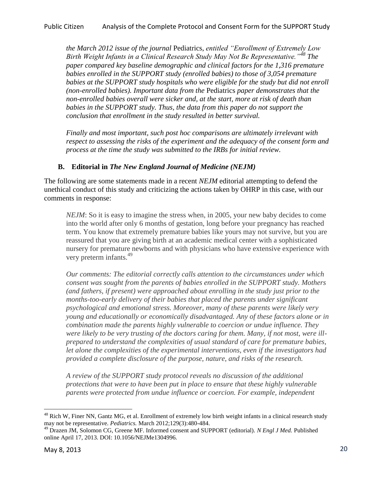*the March 2012 issue of the journal* Pediatrics, *entitled "Enrollment of Extremely Low Birth Weight Infants in a Clinical Research Study May Not Be Representative."<sup>48</sup> The paper compared key baseline demographic and clinical factors for the 1,316 premature babies enrolled in the SUPPORT study (enrolled babies) to those of 3,054 premature babies at the SUPPORT study hospitals who were eligible for the study but did not enroll (non-enrolled babies). Important data from the* Pediatrics *paper demonstrates that the non-enrolled babies overall were sicker and, at the start, more at risk of death than babies in the SUPPORT study. Thus, the data from this paper do not support the conclusion that enrollment in the study resulted in better survival.* 

*Finally and most important, such post hoc comparisons are ultimately irrelevant with respect to assessing the risks of the experiment and the adequacy of the consent form and process at the time the study was submitted to the IRBs for initial review.* 

# **B. Editorial in** *The New England Journal of Medicine (NEJM)*

The following are some statements made in a recent *NEJM* editorial attempting to defend the unethical conduct of this study and criticizing the actions taken by OHRP in this case, with our comments in response:

*NEJM*: So it is easy to imagine the stress when, in 2005, your new baby decides to come into the world after only 6 months of gestation, long before your pregnancy has reached term. You know that extremely premature babies like yours may not survive, but you are reassured that you are giving birth at an academic medical center with a sophisticated nursery for premature newborns and with physicians who have extensive experience with very preterm infants.<sup>49</sup>

*Our comments: The editorial correctly calls attention to the circumstances under which consent was sought from the parents of babies enrolled in the SUPPORT study. Mothers (and fathers, if present) were approached about enrolling in the study just prior to the months-too-early delivery of their babies that placed the parents under significant psychological and emotional stress. Moreover, many of these parents were likely very young and educationally or economically disadvantaged. Any of these factors alone or in combination made the parents highly vulnerable to coercion or undue influence. They were likely to be very trusting of the doctors caring for them. Many, if not most, were illprepared to understand the complexities of usual standard of care for premature babies, let alone the complexities of the experimental interventions, even if the investigators had provided a complete disclosure of the purpose, nature, and risks of the research.* 

*A review of the SUPPORT study protocol reveals no discussion of the additional protections that were to have been put in place to ensure that these highly vulnerable parents were protected from undue influence or coercion. For example, independent* 

<sup>&</sup>lt;sup>48</sup> Rich W, Finer NN, Gantz MG, et al. Enrollment of extremely low birth weight infants in a clinical research study may not be representative. *Pediatrics.* March 2012;129(3):480-484.

<sup>49</sup> Drazen JM, Solomon CG, Greene MF. Informed consent and SUPPORT (editorial). *N Engl J Med.* Published online April 17, 2013. DOI: 10.1056/NEJMe1304996.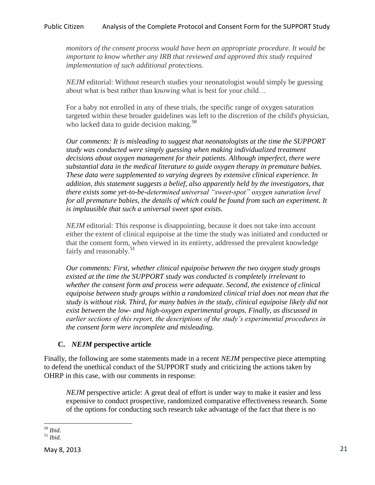*monitors of the consent process would have been an appropriate procedure. It would be important to know whether any IRB that reviewed and approved this study required implementation of such additional protections.* 

*NEJM* editorial: Without research studies your neonatologist would simply be guessing about what is best rather than knowing what is best for your child…

For a baby not enrolled in any of these trials, the specific range of oxygen saturation targeted within these broader guidelines was left to the discretion of the child's physician, who lacked data to guide decision making. $50$ 

*Our comments: It is misleading to suggest that neonatologists at the time the SUPPORT study was conducted were simply guessing when making individualized treatment decisions about oxygen management for their patients. Although imperfect, there were substantial data in the medical literature to guide oxygen therapy in premature babies. These data were supplemented to varying degrees by extensive clinical experience. In addition, this statement suggests a belief, also apparently held by the investigators, that there exists some yet-to-be-determined universal "sweet-spot" oxygen saturation level for all premature babies, the details of which could be found from such an experiment. It is implausible that such a universal sweet spot exists.* 

*NEJM* editorial: This response is disappointing, because it does not take into account either the extent of clinical equipoise at the time the study was initiated and conducted or that the consent form, when viewed in its entirety, addressed the prevalent knowledge fairly and reasonably.<sup>51</sup>

*Our comments: First, whether clinical equipoise between the two oxygen study groups existed at the time the SUPPORT study was conducted is completely irrelevant to whether the consent form and process were adequate. Second, the existence of clinical equipoise between study groups within a randomized clinical trial does not mean that the study is without risk. Third, for many babies in the study, clinical equipoise likely did not exist between the low- and high-oxygen experimental groups. Finally, as discussed in earlier sections of this report, the descriptions of the study's experimental procedures in the consent form were incomplete and misleading.* 

# **C.** *NEJM* **perspective article**

Finally, the following are some statements made in a recent *NEJM* perspective piece attempting to defend the unethical conduct of the SUPPORT study and criticizing the actions taken by OHRP in this case, with our comments in response:

*NEJM* perspective article: A great deal of effort is under way to make it easier and less expensive to conduct prospective, randomized comparative effectiveness research. Some of the options for conducting such research take advantage of the fact that there is no

 $\overline{a}$ <sup>50</sup> *Ibid*.

<sup>51</sup> *Ibid*.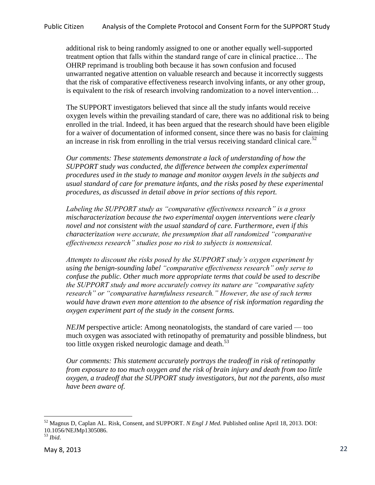additional risk to being randomly assigned to one or another equally well-supported treatment option that falls within the standard range of care in clinical practice… The OHRP reprimand is troubling both because it has sown confusion and focused unwarranted negative attention on valuable research and because it incorrectly suggests that the risk of comparative effectiveness research involving infants, or any other group, is equivalent to the risk of research involving randomization to a novel intervention…

The SUPPORT investigators believed that since all the study infants would receive oxygen levels within the prevailing standard of care, there was no additional risk to being enrolled in the trial. Indeed, it has been argued that the research should have been eligible for a waiver of documentation of informed consent, since there was no basis for claiming an increase in risk from enrolling in the trial versus receiving standard clinical care.<sup>52</sup>

*Our comments: These statements demonstrate a lack of understanding of how the SUPPORT study was conducted, the difference between the complex experimental procedures used in the study to manage and monitor oxygen levels in the subjects and usual standard of care for premature infants, and the risks posed by these experimental procedures, as discussed in detail above in prior sections of this report.* 

*Labeling the SUPPORT study as "comparative effectiveness research" is a gross mischaracterization because the two experimental oxygen interventions were clearly novel and not consistent with the usual standard of care. Furthermore, even if this characterization were accurate, the presumption that all randomized "comparative effectiveness research" studies pose no risk to subjects is nonsensical.* 

*Attempts to discount the risks posed by the SUPPORT study's oxygen experiment by using the benign-sounding label "comparative effectiveness research" only serve to confuse the public. Other much more appropriate terms that could be used to describe the SUPPORT study and more accurately convey its nature are "comparative safety research" or "comparative harmfulness research." However, the use of such terms would have drawn even more attention to the absence of risk information regarding the oxygen experiment part of the study in the consent forms.*

*NEJM* perspective article: Among neonatologists, the standard of care varied — too much oxygen was associated with retinopathy of prematurity and possible blindness, but too little oxygen risked neurologic damage and death.<sup>53</sup>

*Our comments: This statement accurately portrays the tradeoff in risk of retinopathy from exposure to too much oxygen and the risk of brain injury and death from too little oxygen, a tradeoff that the SUPPORT study investigators, but not the parents, also must have been aware of.*

 $\overline{a}$ <sup>52</sup> Magnus D, Caplan AL. Risk, Consent, and SUPPORT. *N Engl J Med.* Published online April 18, 2013. DOI: 10.1056/NEJMp1305086.

<sup>53</sup> *Ibid*.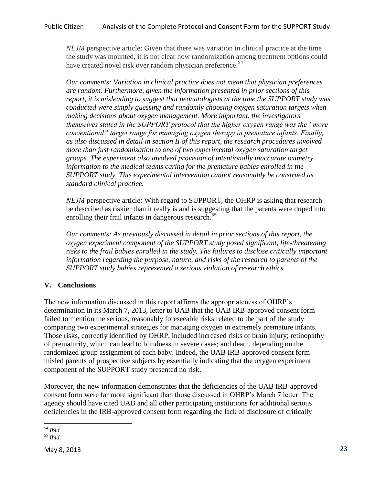*NEJM* perspective article: Given that there was variation in clinical practice at the time the study was mounted, it is not clear how randomization among treatment options could have created novel risk over random physician preference.<sup>54</sup>

*Our comments: Variation in clinical practice does not mean that physician preferences are random. Furthermore, given the information presented in prior sections of this report, it is misleading to suggest that neonatologists at the time the SUPPORT study was conducted were simply guessing and randomly choosing oxygen saturation targets when making decisions about oxygen management. More important, the investigators themselves stated in the SUPPORT protocol that the higher oxygen range was the "more conventional" target range for managing oxygen therapy in premature infants. Finally, as also discussed in detail in section II of this report, the research procedures involved more than just randomization to one of two experimental oxygen saturation target groups. The experiment also involved provision of intentionally inaccurate oximetry information to the medical teams caring for the premature babies enrolled in the SUPPORT study. This experimental intervention cannot reasonably be construed as standard clinical practice.* 

*NEJM* perspective article: With regard to SUPPORT, the OHRP is asking that research be described as riskier than it really is and is suggesting that the parents were duped into enrolling their frail infants in dangerous research.<sup>55</sup>

*Our comments: As previously discussed in detail in prior sections of this report, the oxygen experiment component of the SUPPORT study posed significant, life-threatening risks to the frail babies enrolled in the study. The failures to disclose critically important information regarding the purpose, nature, and risks of the research to parents of the SUPPORT study babies represented a serious violation of research ethics.* 

# **V. Conclusions**

The new information discussed in this report affirms the appropriateness of OHRP's determination in its March 7, 2013, letter to UAB that the UAB IRB-approved consent form failed to mention the serious, reasonably foreseeable risks related to the part of the study comparing two experimental strategies for managing oxygen in extremely premature infants. Those risks, correctly identified by OHRP, included increased risks of brain injury; retinopathy of prematurity, which can lead to blindness in severe cases; and death, depending on the randomized group assignment of each baby. Indeed, the UAB IRB-approved consent form misled parents of prospective subjects by essentially indicating that the oxygen experiment component of the SUPPORT study presented no risk.

Moreover, the new information demonstrates that the deficiencies of the UAB IRB-approved consent form were far more significant than those discussed in OHRP's March 7 letter. The agency should have cited UAB and all other participating institutions for additional serious deficiencies in the IRB-approved consent form regarding the lack of disclosure of critically

 $\overline{a}$ <sup>54</sup> *Ibid*.

<sup>55</sup> *Ibid*.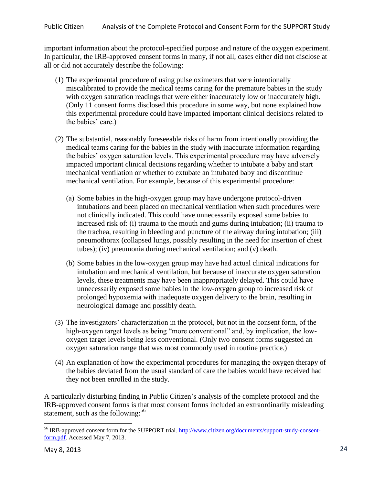important information about the protocol-specified purpose and nature of the oxygen experiment. In particular, the IRB-approved consent forms in many, if not all, cases either did not disclose at all or did not accurately describe the following:

- (1) The experimental procedure of using pulse oximeters that were intentionally miscalibrated to provide the medical teams caring for the premature babies in the study with oxygen saturation readings that were either inaccurately low or inaccurately high. (Only 11 consent forms disclosed this procedure in some way, but none explained how this experimental procedure could have impacted important clinical decisions related to the babies' care.)
- (2) The substantial, reasonably foreseeable risks of harm from intentionally providing the medical teams caring for the babies in the study with inaccurate information regarding the babies' oxygen saturation levels. This experimental procedure may have adversely impacted important clinical decisions regarding whether to intubate a baby and start mechanical ventilation or whether to extubate an intubated baby and discontinue mechanical ventilation. For example, because of this experimental procedure:
	- (a) Some babies in the high-oxygen group may have undergone protocol-driven intubations and been placed on mechanical ventilation when such procedures were not clinically indicated. This could have unnecessarily exposed some babies to increased risk of: (i) trauma to the mouth and gums during intubation; (ii) trauma to the trachea, resulting in bleeding and puncture of the airway during intubation; (iii) pneumothorax (collapsed lungs, possibly resulting in the need for insertion of chest tubes); (iv) pneumonia during mechanical ventilation; and (v) death.
	- (b) Some babies in the low-oxygen group may have had actual clinical indications for intubation and mechanical ventilation, but because of inaccurate oxygen saturation levels, these treatments may have been inappropriately delayed. This could have unnecessarily exposed some babies in the low-oxygen group to increased risk of prolonged hypoxemia with inadequate oxygen delivery to the brain, resulting in neurological damage and possibly death.
- (3) The investigators' characterization in the protocol, but not in the consent form, of the high-oxygen target levels as being "more conventional" and, by implication, the lowoxygen target levels being less conventional. (Only two consent forms suggested an oxygen saturation range that was most commonly used in routine practice.)
- (4) An explanation of how the experimental procedures for managing the oxygen therapy of the babies deviated from the usual standard of care the babies would have received had they not been enrolled in the study.

A particularly disturbing finding in Public Citizen's analysis of the complete protocol and the IRB-approved consent forms is that most consent forms included an extraordinarily misleading statement, such as the following:<sup>56</sup>

 $\overline{a}$ <sup>56</sup> IRB-approved consent form for the SUPPORT trial. [http://www.citizen.org/documents/support-study-consent](http://www.citizen.org/documents/support-study-consent-form.pdf)[form.pdf.](http://www.citizen.org/documents/support-study-consent-form.pdf) Accessed May 7, 2013.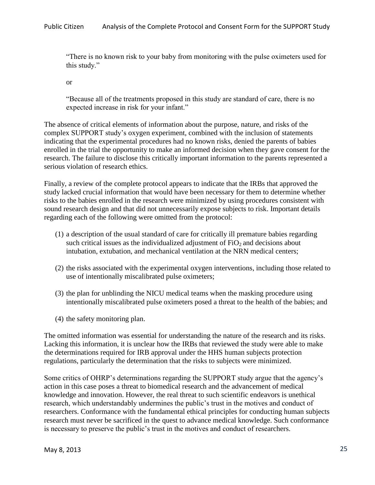"There is no known risk to your baby from monitoring with the pulse oximeters used for this study."

or

"Because all of the treatments proposed in this study are standard of care, there is no expected increase in risk for your infant."

The absence of critical elements of information about the purpose, nature, and risks of the complex SUPPORT study's oxygen experiment, combined with the inclusion of statements indicating that the experimental procedures had no known risks, denied the parents of babies enrolled in the trial the opportunity to make an informed decision when they gave consent for the research. The failure to disclose this critically important information to the parents represented a serious violation of research ethics.

Finally, a review of the complete protocol appears to indicate that the IRBs that approved the study lacked crucial information that would have been necessary for them to determine whether risks to the babies enrolled in the research were minimized by using procedures consistent with sound research design and that did not unnecessarily expose subjects to risk. Important details regarding each of the following were omitted from the protocol:

- (1) a description of the usual standard of care for critically ill premature babies regarding such critical issues as the individualized adjustment of  $FiO<sub>2</sub>$  and decisions about intubation, extubation, and mechanical ventilation at the NRN medical centers;
- (2) the risks associated with the experimental oxygen interventions, including those related to use of intentionally miscalibrated pulse oximeters;
- (3) the plan for unblinding the NICU medical teams when the masking procedure using intentionally miscalibrated pulse oximeters posed a threat to the health of the babies; and
- (4) the safety monitoring plan.

The omitted information was essential for understanding the nature of the research and its risks. Lacking this information, it is unclear how the IRBs that reviewed the study were able to make the determinations required for IRB approval under the HHS human subjects protection regulations, particularly the determination that the risks to subjects were minimized.

Some critics of OHRP's determinations regarding the SUPPORT study argue that the agency's action in this case poses a threat to biomedical research and the advancement of medical knowledge and innovation. However, the real threat to such scientific endeavors is unethical research, which understandably undermines the public's trust in the motives and conduct of researchers. Conformance with the fundamental ethical principles for conducting human subjects research must never be sacrificed in the quest to advance medical knowledge. Such conformance is necessary to preserve the public's trust in the motives and conduct of researchers.